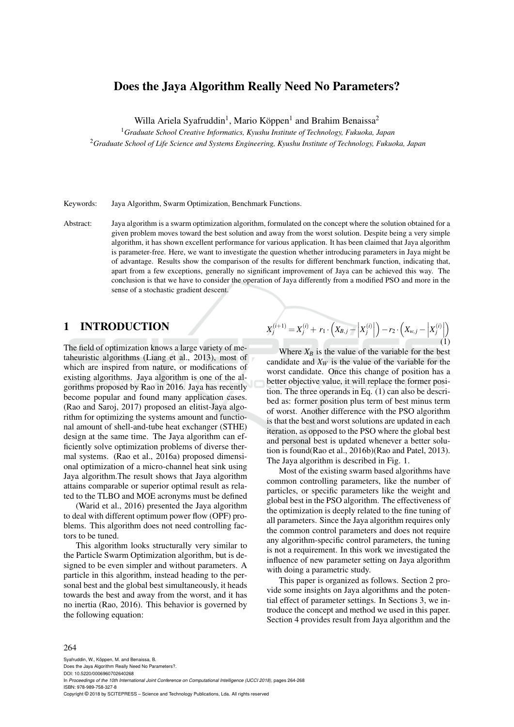# Does the Jaya Algorithm Really Need No Parameters?

Willa Ariela Syafruddin<sup>1</sup>, Mario Köppen<sup>1</sup> and Brahim Benaissa<sup>2</sup>

<sup>1</sup>*Graduate School Creative Informatics, Kyushu Institute of Technology, Fukuoka, Japan*

<sup>2</sup>*Graduate School of Life Science and Systems Engineering, Kyushu Institute of Technology, Fukuoka, Japan*

Keywords: Jaya Algorithm, Swarm Optimization, Benchmark Functions.

Abstract: Jaya algorithm is a swarm optimization algorithm, formulated on the concept where the solution obtained for a given problem moves toward the best solution and away from the worst solution. Despite being a very simple algorithm, it has shown excellent performance for various application. It has been claimed that Jaya algorithm is parameter-free. Here, we want to investigate the question whether introducing parameters in Jaya might be of advantage. Results show the comparison of the results for different benchmark function, indicating that, apart from a few exceptions, generally no significant improvement of Jaya can be achieved this way. The conclusion is that we have to consider the operation of Jaya differently from a modified PSO and more in the sense of a stochastic gradient descent.

# 1 INTRODUCTION

The field of optimization knows a large variety of metaheuristic algorithms (Liang et al., 2013), most of which are inspired from nature, or modifications of existing algorithms. Jaya algorithm is one of the algorithms proposed by Rao in 2016. Jaya has recently become popular and found many application cases. (Rao and Saroj, 2017) proposed an elitist-Jaya algorithm for optimizing the systems amount and functional amount of shell-and-tube heat exchanger (STHE) design at the same time. The Jaya algorithm can efficiently solve optimization problems of diverse thermal systems. (Rao et al., 2016a) proposed dimensional optimization of a micro-channel heat sink using Jaya algorithm.The result shows that Jaya algorithm attains comparable or superior optimal result as related to the TLBO and MOE acronyms must be defined

(Warid et al., 2016) presented the Jaya algorithm to deal with different optimum power flow (OPF) problems. This algorithm does not need controlling factors to be tuned.

This algorithm looks structurally very similar to the Particle Swarm Optimization algorithm, but is designed to be even simpler and without parameters. A particle in this algorithm, instead heading to the personal best and the global best simultaneously, it heads towards the best and away from the worst, and it has no inertia (Rao, 2016). This behavior is governed by the following equation:

$$
X_j^{(i+1)} = X_j^{(i)} + r_1 \cdot \left(X_{B,j} - \left| X_j^{(i)} \right| \right) - r_2 \cdot \left(X_{w,j} - \left| X_j^{(i)} \right| \right) \tag{1}
$$

Where  $X_B$  is the value of the variable for the best candidate and  $X_W$  is the value of the variable for the worst candidate. Once this change of position has a better objective value, it will replace the former position. The three operands in Eq. (1) can also be described as: former position plus term of best minus term of worst. Another difference with the PSO algorithm is that the best and worst solutions are updated in each iteration, as opposed to the PSO where the global best and personal best is updated whenever a better solution is found(Rao et al., 2016b)(Rao and Patel, 2013). The Jaya algorithm is described in Fig. 1.

Most of the existing swarm based algorithms have common controlling parameters, like the number of particles, or specific parameters like the weight and global best in the PSO algorithm. The effectiveness of the optimization is deeply related to the fine tuning of all parameters. Since the Jaya algorithm requires only the common control parameters and does not require any algorithm-specific control parameters, the tuning is not a requirement. In this work we investigated the influence of new parameter setting on Jaya algorithm with doing a parametric study.

This paper is organized as follows. Section 2 provide some insights on Jaya algorithms and the potential effect of parameter settings. In Sections 3, we introduce the concept and method we used in this paper. Section 4 provides result from Jaya algorithm and the

#### 264

Syafruddin, W., Köppen, M. and Benaissa, B. Does the Jaya Algorithm Really Need No Parameters?. DOI: 10.5220/0006960702640268 In *Proceedings of the 10th International Joint Conference on Computational Intelligence (IJCCI 2018)*, pages 264-268 ISBN: 978-989-758-327-8 Copyright © 2018 by SCITEPRESS – Science and Technology Publications, Lda. All rights reserved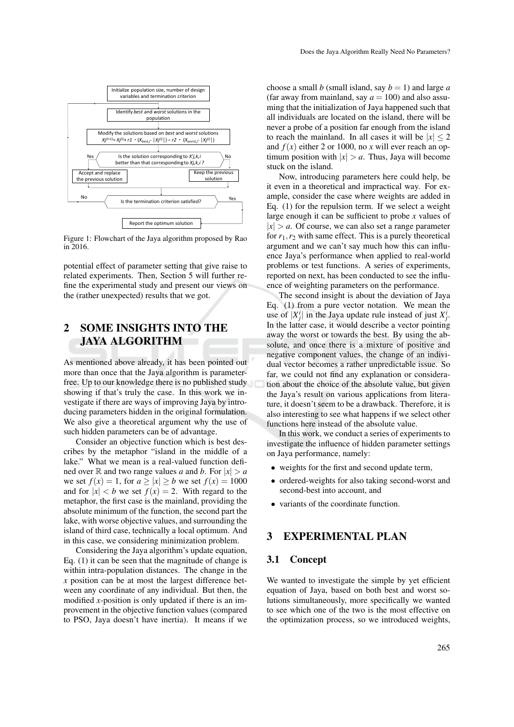

Figure 1: Flowchart of the Jaya algorithm proposed by Rao in 2016.

potential effect of parameter setting that give raise to related experiments. Then, Section 5 will further refine the experimental study and present our views on the (rather unexpected) results that we got.

# 2 SOME INSIGHTS INTO THE JAYA ALGORITHM

As mentioned above already, it has been pointed out more than once that the Jaya algorithm is parameterfree. Up to our knowledge there is no published study showing if that's truly the case. In this work we investigate if there are ways of improving Jaya by introducing parameters hidden in the original formulation. We also give a theoretical argument why the use of such hidden parameters can be of advantage.

Consider an objective function which is best describes by the metaphor "island in the middle of a lake." What we mean is a real-valued function defined over  $\mathbb R$  and two range values *a* and *b*. For  $|x| > a$ we set  $f(x) = 1$ , for  $a \ge |x| \ge b$  we set  $f(x) = 1000$ and for  $|x| < b$  we set  $f(x) = 2$ . With regard to the metaphor, the first case is the mainland, providing the absolute minimum of the function, the second part the lake, with worse objective values, and surrounding the island of third case, technically a local optimum. And in this case, we considering minimization problem.

Considering the Jaya algorithm's update equation, Eq. (1) it can be seen that the magnitude of change is within intra-population distances. The change in the *x* position can be at most the largest difference between any coordinate of any individual. But then, the modified *x*-position is only updated if there is an improvement in the objective function values (compared to PSO, Jaya doesn't have inertia). It means if we choose a small *b* (small island, say  $b = 1$ ) and large *a* (far away from mainland, say  $a = 100$ ) and also assuming that the initialization of Jaya happened such that all individuals are located on the island, there will be never a probe of a position far enough from the island to reach the mainland. In all cases it will be  $|x| \leq 2$ and  $f(x)$  either 2 or 1000, no *x* will ever reach an optimum position with  $|x| > a$ . Thus, Jaya will become stuck on the island.

Now, introducing parameters here could help, be it even in a theoretical and impractical way. For example, consider the case where weights are added in Eq. (1) for the repulsion term. If we select a weight large enough it can be sufficient to probe *x* values of  $|x| > a$ . Of course, we can also set a range parameter for  $r_1, r_2$  with same effect. This is a purely theoretical argument and we can't say much how this can influence Jaya's performance when applied to real-world problems or test functions. A series of experiments, reported on next, has been conducted to see the influence of weighting parameters on the performance.

The second insight is about the deviation of Jaya Eq. (1) from a pure vector notation. We mean the use of  $|X_j^i|$  in the Jaya update rule instead of just  $X_j^i$ . In the latter case, it would describe a vector pointing away the worst or towards the best. By using the absolute, and once there is a mixture of positive and negative component values, the change of an individual vector becomes a rather unpredictable issue. So far, we could not find any explanation or consideration about the choice of the absolute value, but given the Jaya's result on various applications from literature, it doesn't seem to be a drawback. Therefore, it is also interesting to see what happens if we select other functions here instead of the absolute value.

In this work, we conduct a series of experiments to investigate the influence of hidden parameter settings on Jaya performance, namely:

- weights for the first and second update term,
- ordered-weights for also taking second-worst and second-best into account, and
- variants of the coordinate function.

### 3 EXPERIMENTAL PLAN

#### 3.1 Concept

We wanted to investigate the simple by yet efficient equation of Jaya, based on both best and worst solutions simultaneously, more specifically we wanted to see which one of the two is the most effective on the optimization process, so we introduced weights,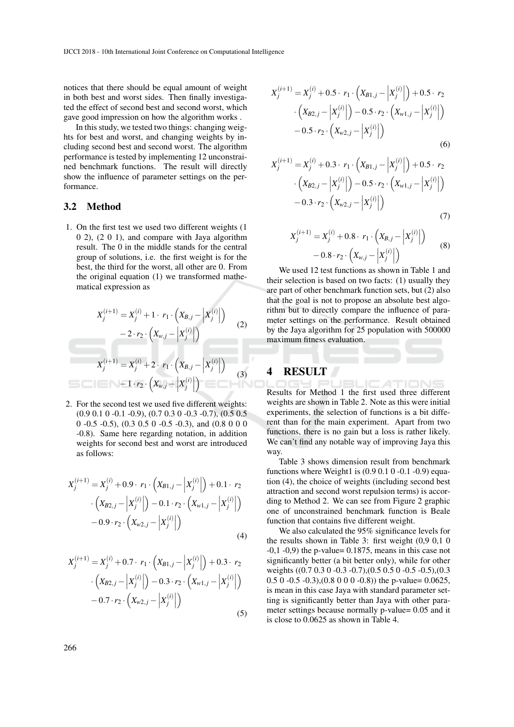notices that there should be equal amount of weight in both best and worst sides. Then finally investigated the effect of second best and second worst, which gave good impression on how the algorithm works .

In this study, we tested two things: changing weights for best and worst, and changing weights by including second best and second worst. The algorithm performance is tested by implementing 12 unconstrained benchmark functions. The result will directly show the influence of parameter settings on the performance.

### 3.2 Method

1. On the first test we used two different weights (1 0 2), (2 0 1), and compare with Jaya algorithm result. The 0 in the middle stands for the central group of solutions, i.e. the first weight is for the best, the third for the worst, all other are 0. From the original equation (1) we transformed mathematical expression as

$$
X_j^{(i+1)} = X_j^{(i)} + 1 \cdot r_1 \cdot (X_{B,j} - \left| X_j^{(i)} \right|)
$$
  
- 2 \cdot r\_2 \cdot (X\_{w,j} - \left| X\_j^{(i)} \right|)  

$$
X_j^{(i+1)} = X_j^{(i)} + 2 \cdot r_1 \cdot (X_{B,j} - \left| X_j^{(i)} \right|)
$$
  
- 1 \cdot r\_2 \cdot (X\_{w,j} - \left| X\_j^{(i)} \right|) (3)

2. For the second test we used five different weights: (0.9 0.1 0 -0.1 -0.9), (0.7 0.3 0 -0.3 -0.7), (0.5 0.5 0 -0.5 -0.5), (0.3 0.5 0 -0.5 -0.3), and (0.8 0 0 0 -0.8). Same here regarding notation, in addition weights for second best and worst are introduced as follows:

$$
X_j^{(i+1)} = X_j^{(i)} + 0.9 \cdot r_1 \cdot \left(X_{B1,j} - \left| X_j^{(i)} \right| \right) + 0.1 \cdot r_2
$$

$$
\cdot \left(X_{B2,j} - \left| X_j^{(i)} \right| \right) - 0.1 \cdot r_2 \cdot \left(X_{w1,j} - \left| X_j^{(i)} \right| \right)
$$

$$
- 0.9 \cdot r_2 \cdot \left(X_{w2,j} - \left| X_j^{(i)} \right| \right)
$$
(4)

$$
X_j^{(i+1)} = X_j^{(i)} + 0.7 \cdot r_1 \cdot \left(X_{B1,j} - \left| X_j^{(i)} \right| \right) + 0.3 \cdot r_2
$$

$$
\cdot \left(X_{B2,j} - \left| X_j^{(i)} \right| \right) - 0.3 \cdot r_2 \cdot \left(X_{w1,j} - \left| X_j^{(i)} \right| \right)
$$

$$
- 0.7 \cdot r_2 \cdot \left(X_{w2,j} - \left| X_j^{(i)} \right| \right)
$$
(5)

$$
X_j^{(i+1)} = X_j^{(i)} + 0.5 \cdot r_1 \cdot (X_{B1,j} - \left| X_j^{(i)} \right|) + 0.5 \cdot r_2
$$

$$
\cdot (X_{B2,j} - \left| X_j^{(i)} \right|) - 0.5 \cdot r_2 \cdot (X_{w1,j} - \left| X_j^{(i)} \right|)
$$

$$
- 0.5 \cdot r_2 \cdot (X_{w2,j} - \left| X_j^{(i)} \right|)
$$
(6)

$$
X_j^{(i+1)} = X_j^{(i)} + 0.3 \cdot r_1 \cdot (X_{B1,j} - \left| X_j^{(i)} \right|) + 0.5 \cdot r_2
$$

$$
\cdot (X_{B2,j} - \left| X_j^{(i)} \right|) - 0.5 \cdot r_2 \cdot (X_{w1,j} - \left| X_j^{(i)} \right|)
$$

$$
- 0.3 \cdot r_2 \cdot (X_{w2,j} - \left| X_j^{(i)} \right|)
$$
(7)

$$
X_j^{(i+1)} = X_j^{(i)} + 0.8 \cdot r_1 \cdot \left(X_{B,j} - \left| X_j^{(i)} \right| \right) - 0.8 \cdot r_2 \cdot \left(X_{w,j} - \left| X_j^{(i)} \right| \right)
$$
(8)

We used 12 test functions as shown in Table 1 and their selection is based on two facts: (1) usually they are part of other benchmark function sets, but (2) also that the goal is not to propose an absolute best algorithm but to directly compare the influence of parameter settings on the performance. Result obtained by the Jaya algorithm for 25 population with 500000 maximum fitness evaluation.

# 4 RESULT

Results for Method 1 the first used three different weights are shown in Table 2. Note as this were initial experiments, the selection of functions is a bit different than for the main experiment. Apart from two functions, there is no gain but a loss is rather likely. We can't find any notable way of improving Jaya this way.

Table 3 shows dimension result from benchmark functions where Weight1 is  $(0.9 0.1 0 - 0.1 - 0.9)$  equation (4), the choice of weights (including second best attraction and second worst repulsion terms) is according to Method 2. We can see from Figure 2 graphic one of unconstrained benchmark function is Beale function that contains five different weight.

We also calculated the 95% significance levels for the results shown in Table 3: first weight (0,9 0,1 0  $-0.1 - 0.9$ ) the p-value= 0.1875, means in this case not significantly better (a bit better only), while for other weights ((0.7 0.3 0 -0.3 -0.7),(0.5 0.5 0 -0.5 -0.5),(0.3 0.5 0 -0.5 -0.3),  $(0.8 0 0 0 -0.8)$  the p-value= 0.0625, is mean in this case Jaya with standard parameter setting is significantly better than Jaya with other parameter settings because normally p-value= 0.05 and it is close to 0.0625 as shown in Table 4.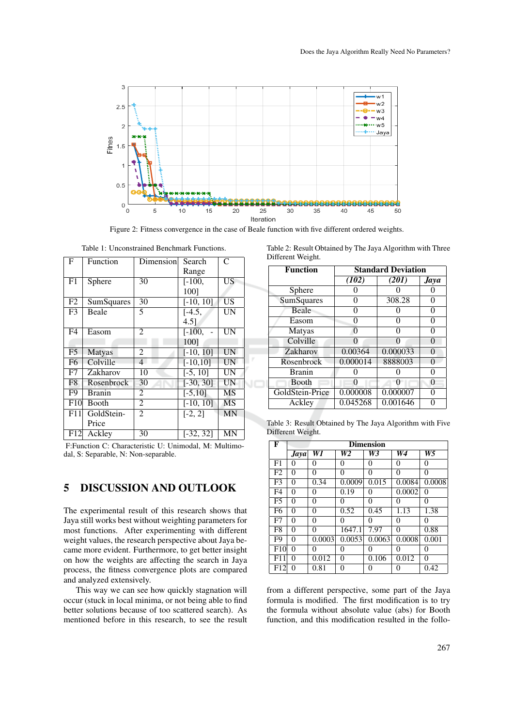

Figure 2: Fitness convergence in the case of Beale function with five different ordered weights.

| F              | Function      | Dimension      | Search               | $\mathsf{C}$ |
|----------------|---------------|----------------|----------------------|--------------|
|                |               |                | Range                |              |
| F1             | Sphere        | 30             | $[-100,$             | <b>US</b>    |
|                |               |                | 1001                 |              |
| F <sub>2</sub> | SumSquares    | 30             | $[-10, 10]$          | <b>US</b>    |
| F <sub>3</sub> | Beale         | 5              | $\overline{[-4.5,]}$ | <b>UN</b>    |
|                |               |                | $4.5$ ]              |              |
| F <sub>4</sub> | Easom         | $\mathfrak{D}$ | $[-100,$             | <b>UN</b>    |
|                |               |                | 1001                 |              |
| F <sub>5</sub> | Matyas        | 2              | $[-10, 10]$          | <b>UN</b>    |
| F6             | Colville      | 4              | $[-10, 10]$          | <b>UN</b>    |
| F7             | Zakharov      | 10             | $[-5, 10]$           | <b>UN</b>    |
| F8             | Rosenbrock    | 30             | $[-30, 30]$          | UN           |
| F <sub>9</sub> | <b>Branin</b> | 2              | $[-5, 10]$           | MS           |
| F10            | <b>Booth</b>  | $\overline{2}$ | $[-10, 10]$          | <b>MS</b>    |
| F11            | GoldStein-    | 2              | $[-2, 2]$            | <b>MN</b>    |
|                | Price         |                |                      |              |
| F12            | Ackley        | 30             | $[-32, 32]$          | <b>MN</b>    |

Table 1: Unconstrained Benchmark Functions.

F:Function C: Characteristic U: Unimodal, M: Multimodal, S: Separable, N: Non-separable.

# 5 DISCUSSION AND OUTLOOK

The experimental result of this research shows that Jaya still works best without weighting parameters for most functions. After experimenting with different weight values, the research perspective about Jaya became more evident. Furthermore, to get better insight on how the weights are affecting the search in Jaya process, the fitness convergence plots are compared and analyzed extensively.

This way we can see how quickly stagnation will occur (stuck in local minima, or not being able to find better solutions because of too scattered search). As mentioned before in this research, to see the result Table 2: Result Obtained by The Jaya Algorithm with Three Different Weight.

| <b>Function</b>   | <b>Standard Deviation</b> |                  |          |  |
|-------------------|---------------------------|------------------|----------|--|
|                   | (102)                     | (201)            | Jaya     |  |
| Sphere            |                           |                  |          |  |
| <b>SumSquares</b> | 0                         | 308.28           | 0        |  |
| Beale             | 0                         |                  | 0        |  |
| Easom             | 0                         | 0                | 0        |  |
| Matyas            | $\theta$                  | 0                | 0        |  |
| Colville          | $\Omega$                  | $\left( \right)$ | 0        |  |
| Zakharov          | 0.00364                   | 0.000033         | $\theta$ |  |
| Rosenbrock        | 0.000014                  | 8888003          | $\theta$ |  |
| <b>Branin</b>     |                           |                  | 0        |  |
| <b>Booth</b>      | 0                         |                  | $\theta$ |  |
| GoldStein-Price   | 0.000008                  | 0.000007         | 0        |  |
| Ackley            | 0.045268                  | 0.001646         |          |  |

Table 3: Result Obtained by The Jaya Algorithm with Five Different Weight.

| F              | <b>Dimension</b> |        |                |        |          |          |
|----------------|------------------|--------|----------------|--------|----------|----------|
|                | Java             | W1     | W <sub>2</sub> | W3     | W4       | W5       |
| F1             | 0                | 0      | 0              | 0      | 0        | 0        |
| F2             | $\theta$         | 0      | 0              | 0      | $\theta$ | $\theta$ |
| F <sub>3</sub> | $\theta$         | 0.34   | 0.0009         | 0.015  | 0.0084   | 0.0008   |
| F <sub>4</sub> | 0                | 0      | 0.19           | 0      | 0.0002   | $\theta$ |
| F <sub>5</sub> | $\Omega$         | 0      | $\Omega$       | 0      | 0        | $\theta$ |
| F6             | 0                | 0      | 0.52           | 0.45   | 1.13     | 1.38     |
| F7             | 0                | 0      | 0              | 0      | $\theta$ | $\theta$ |
| F <sub>8</sub> | 0                | 0      | 1647.1         | 7.97   | $\theta$ | 0.88     |
| F <sub>9</sub> | $\theta$         | 0.0003 | 0.0053         | 0.0063 | 0.0008   | 0.001    |
| F10            | $\Omega$         | 0      | 0              | 0      | $\theta$ | $\theta$ |
| F11            | $\theta$         | 0.012  | $\theta$       | 0.106  | 0.012    | $\theta$ |
| F12            | 0                | 0.81   | 0              | 0      | 0        | 0.42     |

from a different perspective, some part of the Jaya formula is modified. The first modification is to try the formula without absolute value (abs) for Booth function, and this modification resulted in the follo-